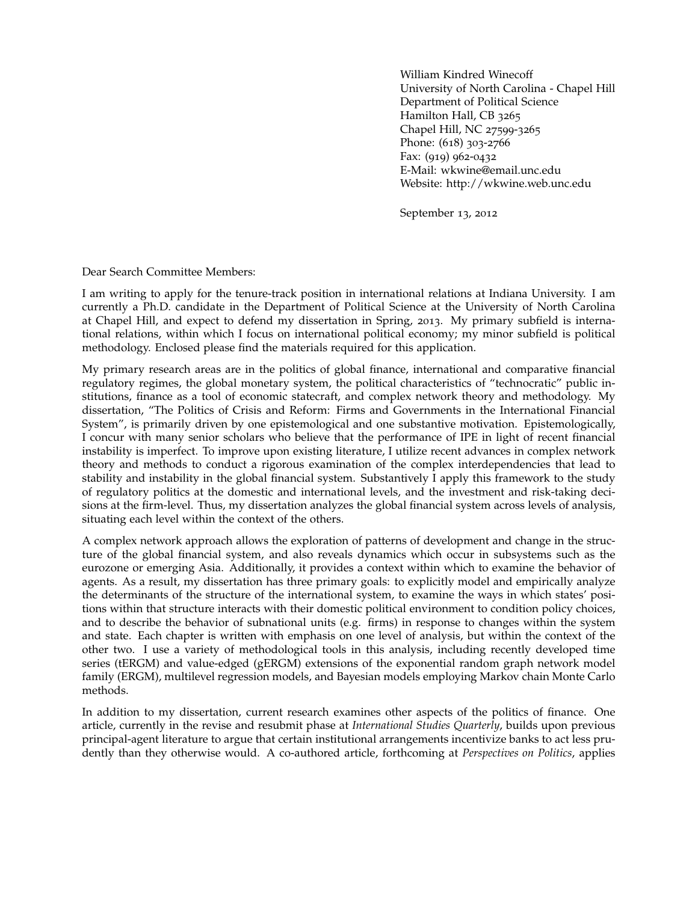William Kindred Winecoff University of North Carolina - Chapel Hill Department of Political Science Hamilton Hall, CB 3265 Chapel Hill, NC 27599-3265 Phone: (618) 303-2766 Fax: (919) 962-0432 E-Mail: wkwine@email.unc.edu Website: http://wkwine.web.unc.edu

September 13, 2012

Dear Search Committee Members:

I am writing to apply for the tenure-track position in international relations at Indiana University. I am currently a Ph.D. candidate in the Department of Political Science at the University of North Carolina at Chapel Hill, and expect to defend my dissertation in Spring, 2013. My primary subfield is international relations, within which I focus on international political economy; my minor subfield is political methodology. Enclosed please find the materials required for this application.

My primary research areas are in the politics of global finance, international and comparative financial regulatory regimes, the global monetary system, the political characteristics of "technocratic" public institutions, finance as a tool of economic statecraft, and complex network theory and methodology. My dissertation, "The Politics of Crisis and Reform: Firms and Governments in the International Financial System", is primarily driven by one epistemological and one substantive motivation. Epistemologically, I concur with many senior scholars who believe that the performance of IPE in light of recent financial instability is imperfect. To improve upon existing literature, I utilize recent advances in complex network theory and methods to conduct a rigorous examination of the complex interdependencies that lead to stability and instability in the global financial system. Substantively I apply this framework to the study of regulatory politics at the domestic and international levels, and the investment and risk-taking decisions at the firm-level. Thus, my dissertation analyzes the global financial system across levels of analysis, situating each level within the context of the others.

A complex network approach allows the exploration of patterns of development and change in the structure of the global financial system, and also reveals dynamics which occur in subsystems such as the eurozone or emerging Asia. Additionally, it provides a context within which to examine the behavior of agents. As a result, my dissertation has three primary goals: to explicitly model and empirically analyze the determinants of the structure of the international system, to examine the ways in which states' positions within that structure interacts with their domestic political environment to condition policy choices, and to describe the behavior of subnational units (e.g. firms) in response to changes within the system and state. Each chapter is written with emphasis on one level of analysis, but within the context of the other two. I use a variety of methodological tools in this analysis, including recently developed time series (tERGM) and value-edged (gERGM) extensions of the exponential random graph network model family (ERGM), multilevel regression models, and Bayesian models employing Markov chain Monte Carlo methods.

In addition to my dissertation, current research examines other aspects of the politics of finance. One article, currently in the revise and resubmit phase at *International Studies Quarterly*, builds upon previous principal-agent literature to argue that certain institutional arrangements incentivize banks to act less prudently than they otherwise would. A co-authored article, forthcoming at *Perspectives on Politics*, applies